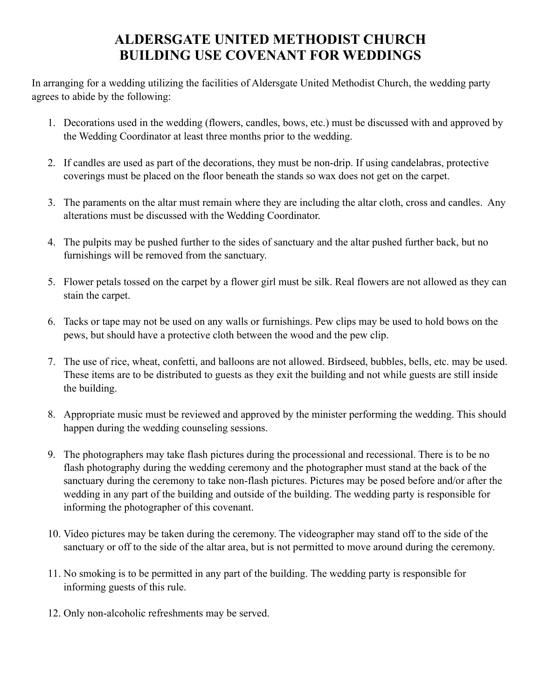## **ALDERSGATE UNITED METHODIST CHURCH BUILDING USE COVENANT FOR WEDDINGS**

In arranging for a wedding utilizing the facilities of Aldersgate United Methodist Church, the wedding party agrees to abide by the following:

- 1. Decorations used in the wedding (flowers, candles, bows, etc.) must be discussed with and approved by the Wedding Coordinator at least three months prior to the wedding.
- 2. If candles are used as part of the decorations, they must be non-drip. If using candelabras, protective coverings must be placed on the floor beneath the stands so wax does not get on the carpet.
- 3. The paraments on the altar must remain where they are including the altar cloth, cross and candles. Any alterations must be discussed with the Wedding Coordinator.
- 4. The pulpits may be pushed further to the sides of sanctuary and the altar pushed further back, but no furnishings will be removed from the sanctuary.
- 5. Flower petals tossed on the carpet by a flower girl must be silk. Real flowers are not allowed as they can stain the carpet.
- 6. Tacks or tape may not be used on any walls or furnishings. Pew clips may be used to hold bows on the pews, but should have a protective cloth between the wood and the pew clip.
- 7. The use of rice, wheat, confetti, and balloons are not allowed. Birdseed, bubbles, bells, etc. may be used. These items are to be distributed to guests as they exit the building and not while guests are still inside the building.
- 8. Appropriate music must be reviewed and approved by the minister performing the wedding. This should happen during the wedding counseling sessions.
- 9. The photographers may take flash pictures during the processional and recessional. There is to be no flash photography during the wedding ceremony and the photographer must stand at the back of the sanctuary during the ceremony to take non-flash pictures. Pictures may be posed before and/or after the wedding in any part of the building and outside of the building. The wedding party is responsible for informing the photographer of this covenant.
- 10. Video pictures may be taken during the ceremony. The videographer may stand off to the side of the sanctuary or off to the side of the altar area, but is not permitted to move around during the ceremony.
- 11. No smoking is to be permitted in any part of the building. The wedding party is responsible for informing guests of this rule.
- 12. Only non-alcoholic refreshments may be served.